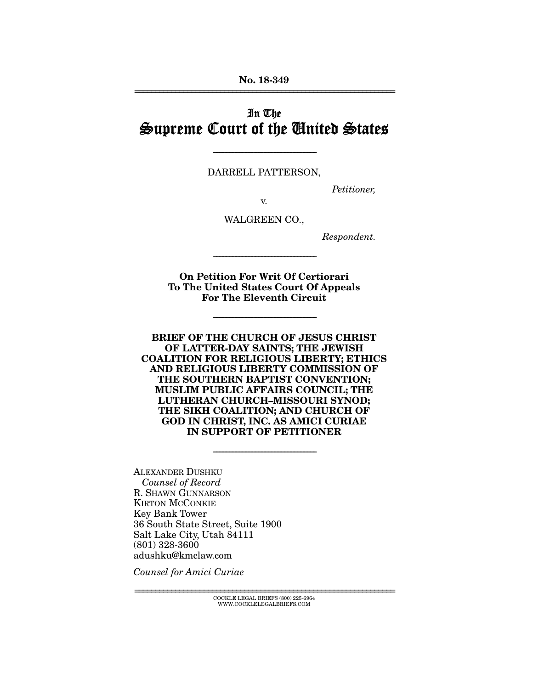No. 18-349 ================================================================

# In The Supreme Court of the United States

DARRELL PATTERSON,

-----------------------------------------------------------------------

*Petitioner,* 

v.

WALGREEN CO.,

*Respondent.* 

On Petition For Writ Of Certiorari To The United States Court Of Appeals For The Eleventh Circuit

-----------------------------------------------------------------------

-----------------------------------------------------------------------

BRIEF OF THE CHURCH OF JESUS CHRIST OF LATTER-DAY SAINTS; THE JEWISH COALITION FOR RELIGIOUS LIBERTY; ETHICS AND RELIGIOUS LIBERTY COMMISSION OF THE SOUTHERN BAPTIST CONVENTION; MUSLIM PUBLIC AFFAIRS COUNCIL; THE LUTHERAN CHURCH–MISSOURI SYNOD; THE SIKH COALITION; AND CHURCH OF GOD IN CHRIST, INC. AS AMICI CURIAE IN SUPPORT OF PETITIONER

-----------------------------------------------------------------------

ALEXANDER DUSHKU *Counsel of Record*  R. SHAWN GUNNARSON KIRTON MCCONKIE Key Bank Tower 36 South State Street, Suite 1900 Salt Lake City, Utah 84111 (801) 328-3600 adushku@kmclaw.com

*Counsel for Amici Curiae* 

 ${COCKLE}$  LEGAL BRIEFS (800) 225-6964 WWW.COCKLELEGALBRIEFS.COM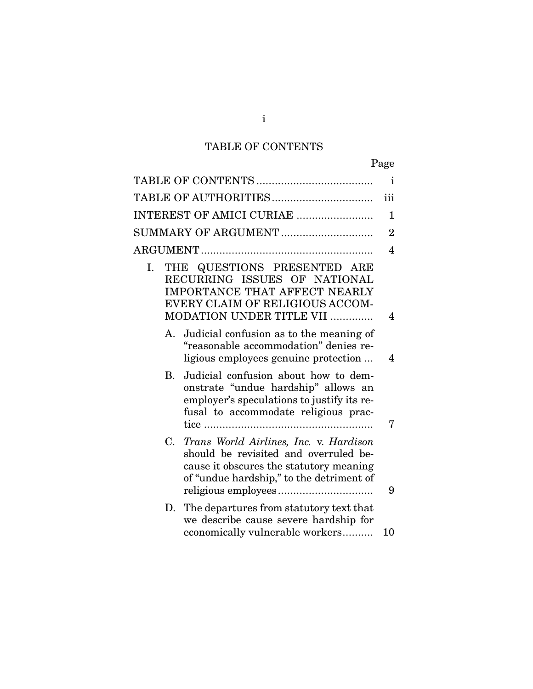# TABLE OF CONTENTS

| $\mathbf{i}$                                                                                                                                                                |           |
|-----------------------------------------------------------------------------------------------------------------------------------------------------------------------------|-----------|
| iii                                                                                                                                                                         |           |
| INTEREST OF AMICI CURIAE<br>$\mathbf 1$                                                                                                                                     |           |
| SUMMARY OF ARGUMENT<br>$\overline{2}$                                                                                                                                       |           |
| $\overline{4}$                                                                                                                                                              |           |
| THE QUESTIONS PRESENTED ARE<br>RECURRING ISSUES OF NATIONAL<br><b>IMPORTANCE THAT AFFECT NEARLY</b><br>EVERY CLAIM OF RELIGIOUS ACCOM-<br>MODATION UNDER TITLE VII<br>4     | I.        |
| Judicial confusion as to the meaning of<br>"reasonable accommodation" denies re-<br>ligious employees genuine protection<br>4                                               | A.        |
| Judicial confusion about how to dem-<br>onstrate "undue hardship" allows an<br>employer's speculations to justify its re-<br>fusal to accommodate religious prac-<br>7      | <b>B.</b> |
| Trans World Airlines, Inc. v. Hardison<br>should be revisited and overruled be-<br>cause it obscures the statutory meaning<br>of "undue hardship," to the detriment of<br>9 | C.        |
| D. The departures from statutory text that<br>we describe cause severe hardship for<br>economically vulnerable workers<br>10                                                |           |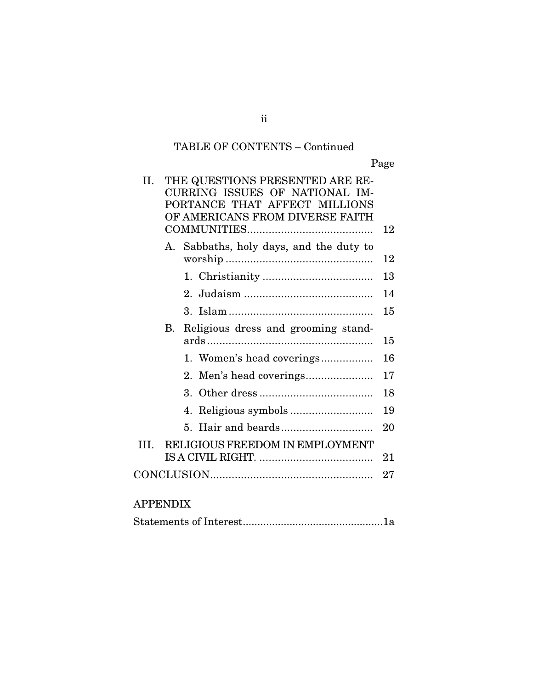# TABLE OF CONTENTS – Continued

Page

| Н.             |             | THE QUESTIONS PRESENTED ARE RE-<br>CURRING ISSUES OF NATIONAL IM-<br>PORTANCE THAT AFFECT MILLIONS<br>OF AMERICANS FROM DIVERSE FAITH |    |
|----------------|-------------|---------------------------------------------------------------------------------------------------------------------------------------|----|
|                |             |                                                                                                                                       | 12 |
|                | $A_{\cdot}$ | Sabbaths, holy days, and the duty to                                                                                                  | 12 |
|                |             |                                                                                                                                       | 13 |
|                |             |                                                                                                                                       | 14 |
|                |             |                                                                                                                                       | 15 |
|                | В.          | Religious dress and grooming stand-                                                                                                   |    |
|                |             |                                                                                                                                       | 15 |
|                |             | 1. Women's head coverings                                                                                                             | 16 |
|                |             | $2_{-}$                                                                                                                               | 17 |
|                |             | $3_{-}$                                                                                                                               | 18 |
|                |             |                                                                                                                                       | 19 |
|                |             | 5                                                                                                                                     | 20 |
| III.           |             | RELIGIOUS FREEDOM IN EMPLOYMENT                                                                                                       |    |
|                |             |                                                                                                                                       | 21 |
|                |             |                                                                                                                                       | 27 |
|                |             |                                                                                                                                       |    |
| <b>APPENDI</b> |             |                                                                                                                                       |    |

|--|--|

ii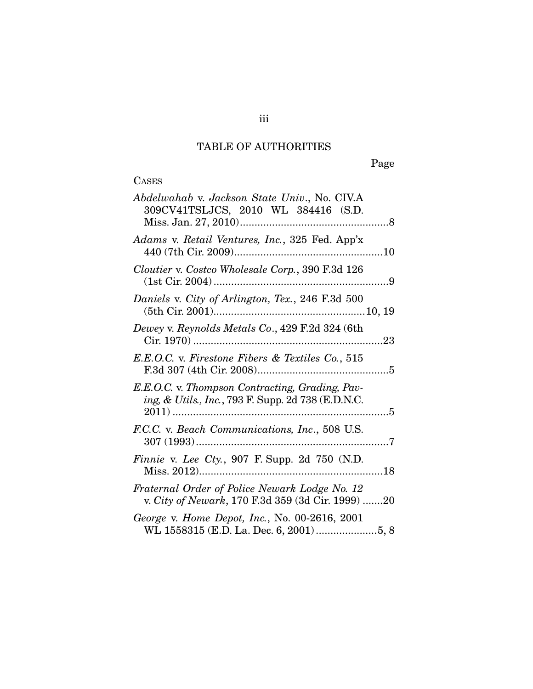## TABLE OF AUTHORITIES

Page

# **CASES**

| Abdelwahab v. Jackson State Univ., No. CIV.A<br>309CV41TSLJCS, 2010 WL 384416 (S.D.                   |
|-------------------------------------------------------------------------------------------------------|
| Adams v. Retail Ventures, Inc., 325 Fed. App'x                                                        |
| Cloutier v. Costco Wholesale Corp., 390 F.3d 126                                                      |
| Daniels v. City of Arlington, Tex., 246 F.3d 500                                                      |
| Dewey v. Reynolds Metals Co., 429 F.2d 324 (6th                                                       |
| E.E.O.C. v. Firestone Fibers & Textiles Co., 515                                                      |
| E.E.O.C. v. Thompson Contracting, Grading, Pav-<br>ing, & Utils., Inc., 793 F. Supp. 2d 738 (E.D.N.C. |
| F.C.C. v. Beach Communications, Inc., 508 U.S.                                                        |
| <i>Finnie v. Lee Cty.</i> , 907 F. Supp. 2d 750 (N.D.                                                 |
| Fraternal Order of Police Newark Lodge No. 12<br>v. City of Newark, 170 F.3d 359 (3d Cir. 1999) 20    |
| George v. Home Depot, Inc., No. 00-2616, 2001                                                         |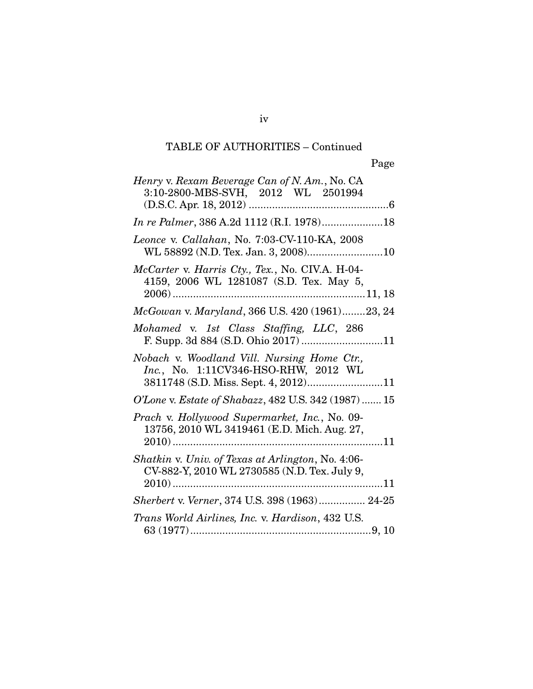iv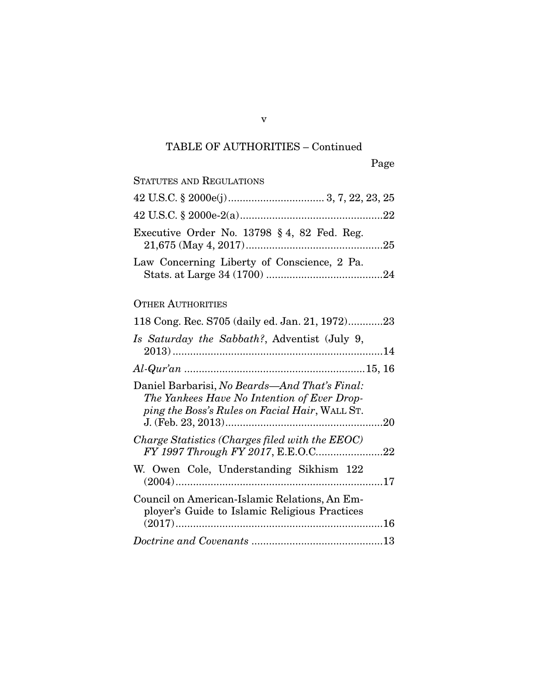| STATUTES AND REGULATIONS                                                                                                                       |  |
|------------------------------------------------------------------------------------------------------------------------------------------------|--|
|                                                                                                                                                |  |
|                                                                                                                                                |  |
| Executive Order No. 13798 § 4, 82 Fed. Reg.                                                                                                    |  |
| Law Concerning Liberty of Conscience, 2 Pa.                                                                                                    |  |
| <b>OTHER AUTHORITIES</b>                                                                                                                       |  |
| 118 Cong. Rec. S705 (daily ed. Jan. 21, 1972)23                                                                                                |  |
| Is Saturday the Sabbath?, Adventist (July 9,                                                                                                   |  |
|                                                                                                                                                |  |
| Daniel Barbarisi, No Beards—And That's Final:<br>The Yankees Have No Intention of Ever Drop-<br>ping the Boss's Rules on Facial Hair, WALL ST. |  |
| Charge Statistics (Charges filed with the EEOC)                                                                                                |  |
| W. Owen Cole, Understanding Sikhism 122                                                                                                        |  |
| Council on American-Islamic Relations, An Em-<br>ployer's Guide to Islamic Religious Practices                                                 |  |
|                                                                                                                                                |  |

v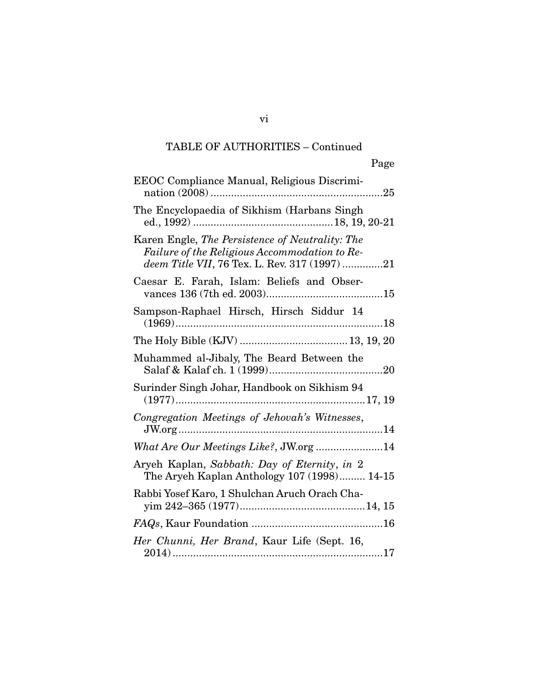vi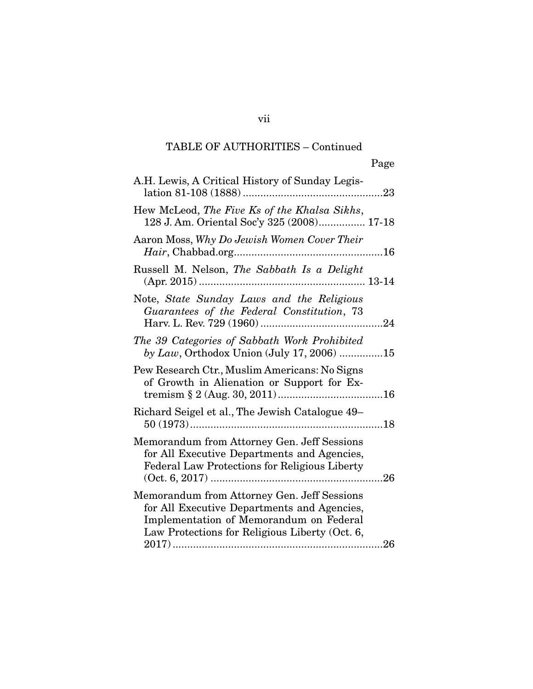| 128 J. Am. Oriental Soc'y 325 (2008) 17-18 |
|--------------------------------------------|
|                                            |
|                                            |
|                                            |
| by Law, Orthodox Union (July 17, 2006) 15  |
|                                            |
|                                            |
|                                            |
|                                            |
|                                            |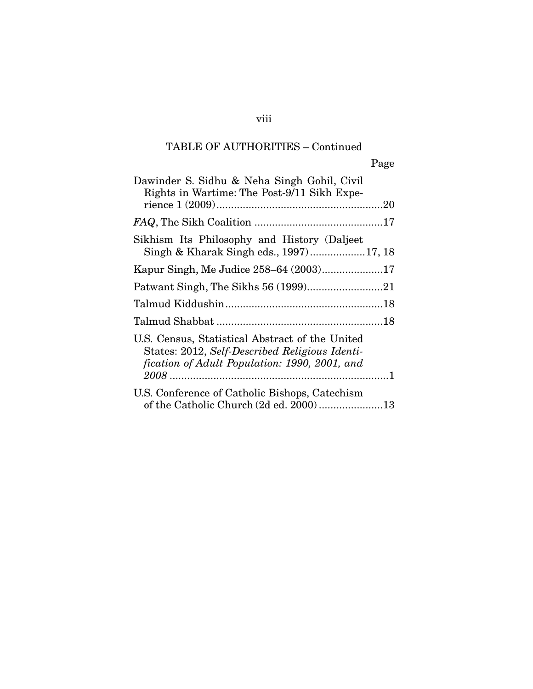| Page                                                                                                                                               |
|----------------------------------------------------------------------------------------------------------------------------------------------------|
| Dawinder S. Sidhu & Neha Singh Gohil, Civil<br>Rights in Wartime: The Post-9/11 Sikh Expe-                                                         |
|                                                                                                                                                    |
| Sikhism Its Philosophy and History (Daljeet<br>Singh & Kharak Singh eds., 1997)17, 18                                                              |
|                                                                                                                                                    |
|                                                                                                                                                    |
|                                                                                                                                                    |
|                                                                                                                                                    |
| U.S. Census, Statistical Abstract of the United<br>States: 2012, Self-Described Religious Identi-<br>fication of Adult Population: 1990, 2001, and |
| U.S. Conference of Catholic Bishops, Catechism<br>of the Catholic Church (2d ed. 2000) 13                                                          |

### viii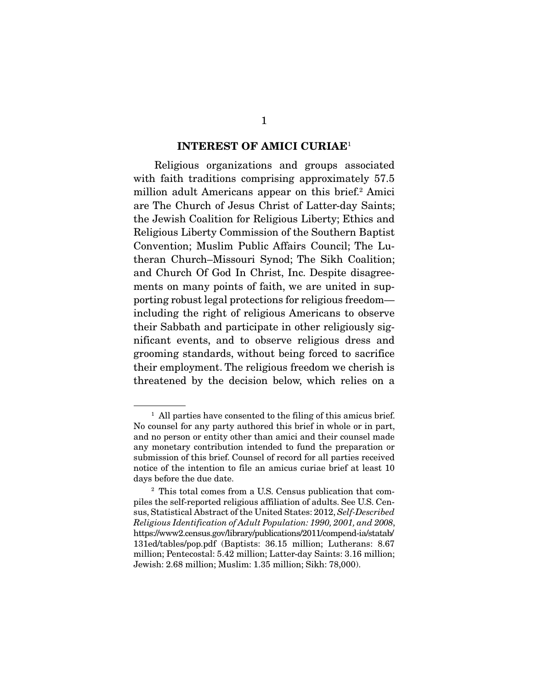#### INTEREST OF AMICI CURIAE<sup>1</sup>

 Religious organizations and groups associated with faith traditions comprising approximately 57.5 million adult Americans appear on this brief.<sup>2</sup> Amici are The Church of Jesus Christ of Latter-day Saints; the Jewish Coalition for Religious Liberty; Ethics and Religious Liberty Commission of the Southern Baptist Convention; Muslim Public Affairs Council; The Lutheran Church–Missouri Synod; The Sikh Coalition; and Church Of God In Christ, Inc. Despite disagreements on many points of faith, we are united in supporting robust legal protections for religious freedom including the right of religious Americans to observe their Sabbath and participate in other religiously significant events, and to observe religious dress and grooming standards, without being forced to sacrifice their employment. The religious freedom we cherish is threatened by the decision below, which relies on a

<sup>&</sup>lt;sup>1</sup> All parties have consented to the filing of this amicus brief. No counsel for any party authored this brief in whole or in part, and no person or entity other than amici and their counsel made any monetary contribution intended to fund the preparation or submission of this brief. Counsel of record for all parties received notice of the intention to file an amicus curiae brief at least 10 days before the due date.

<sup>2</sup> This total comes from a U.S. Census publication that compiles the self-reported religious affiliation of adults. See U.S. Census, Statistical Abstract of the United States: 2012, *Self-Described Religious Identification of Adult Population: 1990, 2001, and 2008*, https://www2.census.gov/library/publications/2011/compend-ia/statab/ 131ed/tables/pop.pdf (Baptists: 36.15 million; Lutherans: 8.67 million; Pentecostal: 5.42 million; Latter-day Saints: 3.16 million; Jewish: 2.68 million; Muslim: 1.35 million; Sikh: 78,000).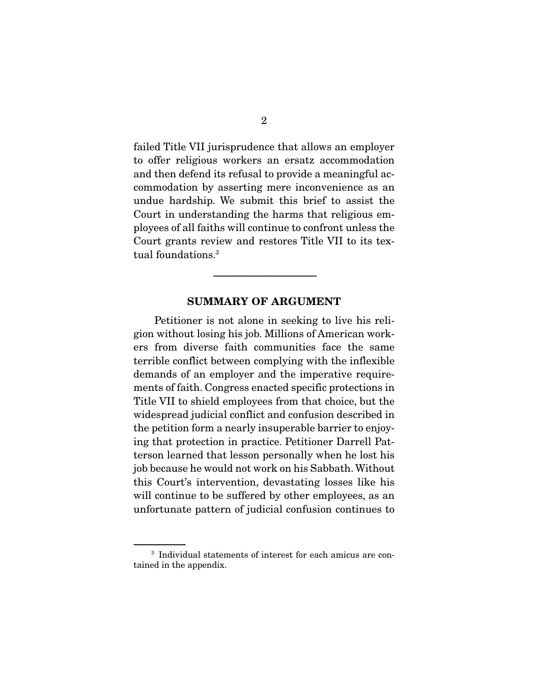failed Title VII jurisprudence that allows an employer to offer religious workers an ersatz accommodation and then defend its refusal to provide a meaningful accommodation by asserting mere inconvenience as an undue hardship. We submit this brief to assist the Court in understanding the harms that religious employees of all faiths will continue to confront unless the Court grants review and restores Title VII to its textual foundations.<sup>3</sup>

### SUMMARY OF ARGUMENT

-----------------------------------------------------------------------

 Petitioner is not alone in seeking to live his religion without losing his job. Millions of American workers from diverse faith communities face the same terrible conflict between complying with the inflexible demands of an employer and the imperative requirements of faith. Congress enacted specific protections in Title VII to shield employees from that choice, but the widespread judicial conflict and confusion described in the petition form a nearly insuperable barrier to enjoying that protection in practice. Petitioner Darrell Patterson learned that lesson personally when he lost his job because he would not work on his Sabbath. Without this Court's intervention, devastating losses like his will continue to be suffered by other employees, as an unfortunate pattern of judicial confusion continues to

<sup>3</sup> Individual statements of interest for each amicus are contained in the appendix.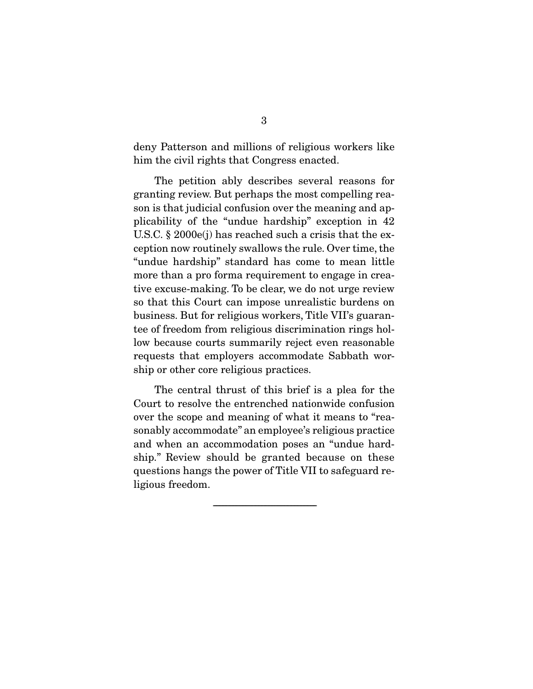deny Patterson and millions of religious workers like him the civil rights that Congress enacted.

 The petition ably describes several reasons for granting review. But perhaps the most compelling reason is that judicial confusion over the meaning and applicability of the "undue hardship" exception in 42 U.S.C. § 2000e(j) has reached such a crisis that the exception now routinely swallows the rule. Over time, the "undue hardship" standard has come to mean little more than a pro forma requirement to engage in creative excuse-making. To be clear, we do not urge review so that this Court can impose unrealistic burdens on business. But for religious workers, Title VII's guarantee of freedom from religious discrimination rings hollow because courts summarily reject even reasonable requests that employers accommodate Sabbath worship or other core religious practices.

 The central thrust of this brief is a plea for the Court to resolve the entrenched nationwide confusion over the scope and meaning of what it means to "reasonably accommodate" an employee's religious practice and when an accommodation poses an "undue hardship." Review should be granted because on these questions hangs the power of Title VII to safeguard religious freedom.

-----------------------------------------------------------------------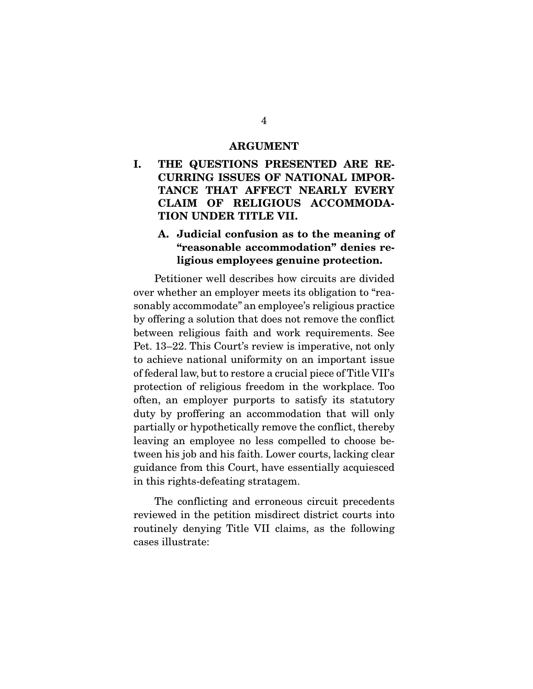#### ARGUMENT

I. THE QUESTIONS PRESENTED ARE RE-CURRING ISSUES OF NATIONAL IMPOR-TANCE THAT AFFECT NEARLY EVERY CLAIM OF RELIGIOUS ACCOMMODA-TION UNDER TITLE VII.

### A. Judicial confusion as to the meaning of "reasonable accommodation" denies religious employees genuine protection.

 Petitioner well describes how circuits are divided over whether an employer meets its obligation to "reasonably accommodate" an employee's religious practice by offering a solution that does not remove the conflict between religious faith and work requirements. See Pet. 13–22. This Court's review is imperative, not only to achieve national uniformity on an important issue of federal law, but to restore a crucial piece of Title VII's protection of religious freedom in the workplace. Too often, an employer purports to satisfy its statutory duty by proffering an accommodation that will only partially or hypothetically remove the conflict, thereby leaving an employee no less compelled to choose between his job and his faith. Lower courts, lacking clear guidance from this Court, have essentially acquiesced in this rights-defeating stratagem.

 The conflicting and erroneous circuit precedents reviewed in the petition misdirect district courts into routinely denying Title VII claims, as the following cases illustrate: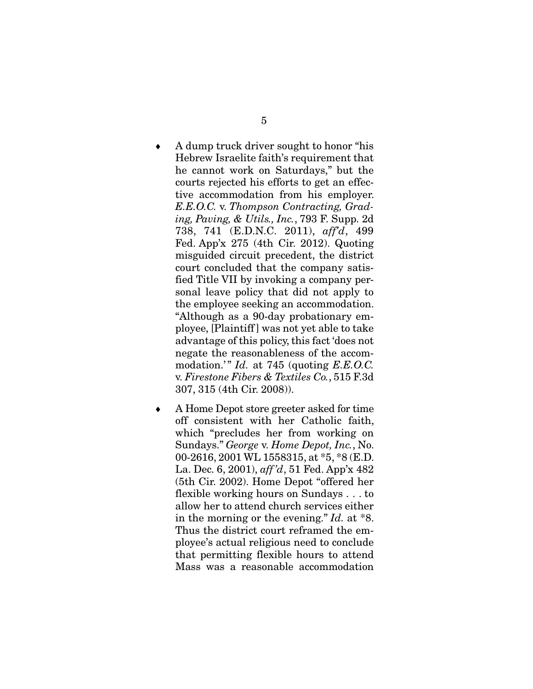- A dump truck driver sought to honor "his Hebrew Israelite faith's requirement that he cannot work on Saturdays," but the courts rejected his efforts to get an effective accommodation from his employer. *E.E.O.C.* v. *Thompson Contracting, Grading, Paving, & Utils., Inc.*, 793 F. Supp. 2d 738, 741 (E.D.N.C. 2011), *aff'd*, 499 Fed. App'x 275 (4th Cir. 2012). Quoting misguided circuit precedent, the district court concluded that the company satisfied Title VII by invoking a company personal leave policy that did not apply to the employee seeking an accommodation. "Although as a 90-day probationary employee, [Plaintiff ] was not yet able to take advantage of this policy, this fact 'does not negate the reasonableness of the accommodation.'" *Id.* at 745 (quoting *E.E.O.C.* v. *Firestone Fibers & Textiles Co.*, 515 F.3d 307, 315 (4th Cir. 2008)).
- A Home Depot store greeter asked for time off consistent with her Catholic faith, which "precludes her from working on Sundays." *George* v. *Home Depot, Inc.*, No. 00-2616, 2001 WL 1558315, at \*5, \*8 (E.D. La. Dec. 6, 2001), *aff 'd*, 51 Fed. App'x 482 (5th Cir. 2002). Home Depot "offered her flexible working hours on Sundays . . . to allow her to attend church services either in the morning or the evening." *Id.* at \*8. Thus the district court reframed the employee's actual religious need to conclude that permitting flexible hours to attend Mass was a reasonable accommodation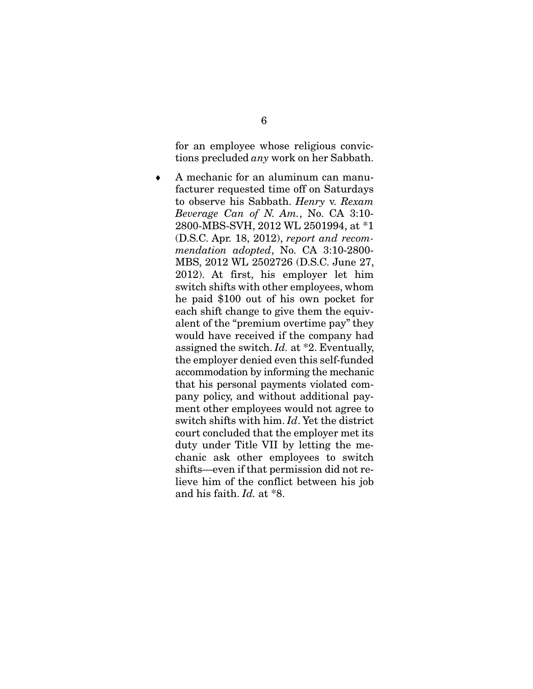for an employee whose religious convictions precluded *any* work on her Sabbath.

 A mechanic for an aluminum can manufacturer requested time off on Saturdays to observe his Sabbath. *Henry* v. *Rexam Beverage Can of N. Am.*, No. CA 3:10- 2800-MBS-SVH, 2012 WL 2501994, at \*1 (D.S.C. Apr. 18, 2012), *report and recommendation adopted*, No. CA 3:10-2800- MBS, 2012 WL 2502726 (D.S.C. June 27, 2012). At first, his employer let him switch shifts with other employees, whom he paid \$100 out of his own pocket for each shift change to give them the equivalent of the "premium overtime pay" they would have received if the company had assigned the switch. *Id.* at \*2. Eventually, the employer denied even this self-funded accommodation by informing the mechanic that his personal payments violated company policy, and without additional payment other employees would not agree to switch shifts with him. *Id*. Yet the district court concluded that the employer met its duty under Title VII by letting the mechanic ask other employees to switch shifts—even if that permission did not relieve him of the conflict between his job and his faith. *Id.* at \*8.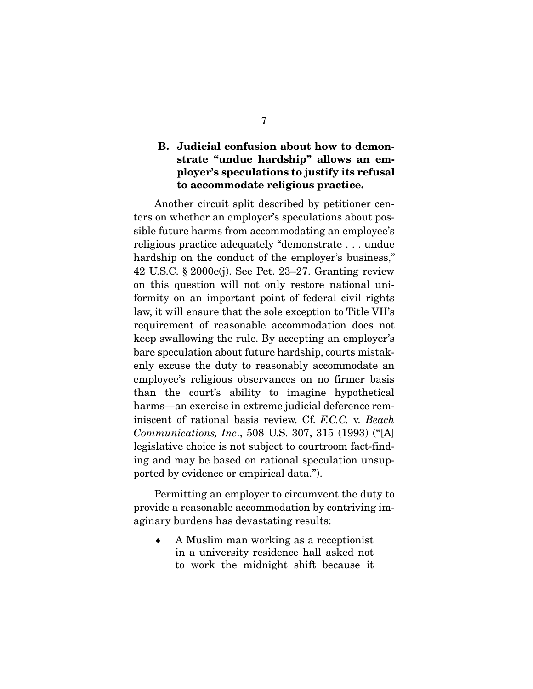### B. Judicial confusion about how to demonstrate "undue hardship" allows an employer's speculations to justify its refusal to accommodate religious practice.

 Another circuit split described by petitioner centers on whether an employer's speculations about possible future harms from accommodating an employee's religious practice adequately "demonstrate . . . undue hardship on the conduct of the employer's business," 42 U.S.C. § 2000e(j). See Pet. 23–27. Granting review on this question will not only restore national uniformity on an important point of federal civil rights law, it will ensure that the sole exception to Title VII's requirement of reasonable accommodation does not keep swallowing the rule. By accepting an employer's bare speculation about future hardship, courts mistakenly excuse the duty to reasonably accommodate an employee's religious observances on no firmer basis than the court's ability to imagine hypothetical harms—an exercise in extreme judicial deference reminiscent of rational basis review. Cf. *F.C.C.* v. *Beach Communications, Inc*., 508 U.S. 307, 315 (1993) ("[A] legislative choice is not subject to courtroom fact-finding and may be based on rational speculation unsupported by evidence or empirical data.").

 Permitting an employer to circumvent the duty to provide a reasonable accommodation by contriving imaginary burdens has devastating results:

 A Muslim man working as a receptionist in a university residence hall asked not to work the midnight shift because it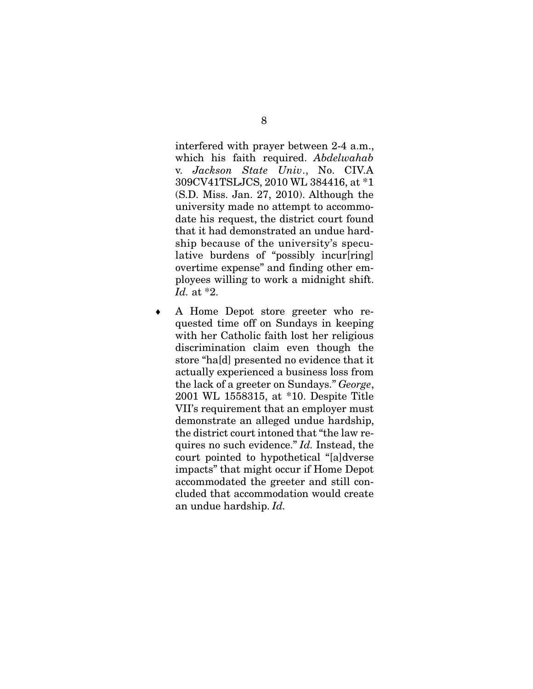interfered with prayer between 2-4 a.m., which his faith required. *Abdelwahab*  v. *Jackson State Univ*., No. CIV.A 309CV41TSLJCS, 2010 WL 384416, at \*1 (S.D. Miss. Jan. 27, 2010). Although the university made no attempt to accommodate his request, the district court found that it had demonstrated an undue hardship because of the university's speculative burdens of "possibly incur[ring] overtime expense" and finding other employees willing to work a midnight shift. *Id.* at \*2.

 A Home Depot store greeter who requested time off on Sundays in keeping with her Catholic faith lost her religious discrimination claim even though the store "ha[d] presented no evidence that it actually experienced a business loss from the lack of a greeter on Sundays." *George*, 2001 WL 1558315, at \*10. Despite Title VII's requirement that an employer must demonstrate an alleged undue hardship, the district court intoned that "the law requires no such evidence." *Id.* Instead, the court pointed to hypothetical "[a]dverse impacts" that might occur if Home Depot accommodated the greeter and still concluded that accommodation would create an undue hardship. *Id.*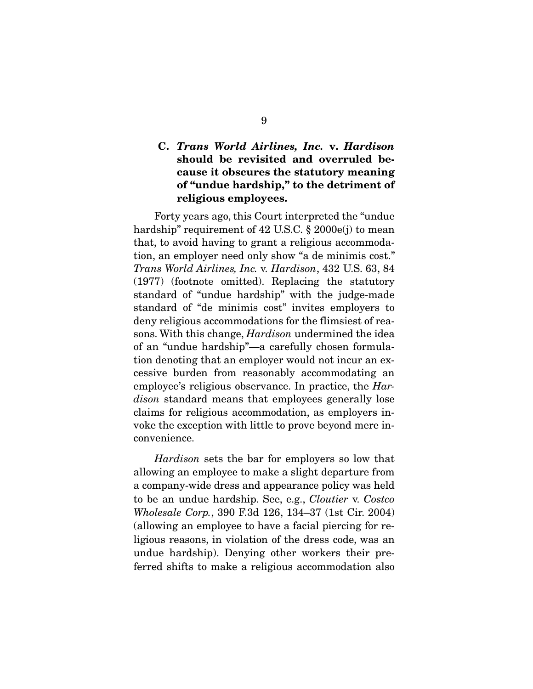### C. Trans World Airlines, Inc. v. Hardison should be revisited and overruled because it obscures the statutory meaning of "undue hardship," to the detriment of religious employees.

 Forty years ago, this Court interpreted the "undue hardship" requirement of 42 U.S.C. § 2000e(j) to mean that, to avoid having to grant a religious accommodation, an employer need only show "a de minimis cost." *Trans World Airlines, Inc.* v. *Hardison*, 432 U.S. 63, 84 (1977) (footnote omitted). Replacing the statutory standard of "undue hardship" with the judge-made standard of "de minimis cost" invites employers to deny religious accommodations for the flimsiest of reasons. With this change, *Hardison* undermined the idea of an "undue hardship"—a carefully chosen formulation denoting that an employer would not incur an excessive burden from reasonably accommodating an employee's religious observance. In practice, the *Hardison* standard means that employees generally lose claims for religious accommodation, as employers invoke the exception with little to prove beyond mere inconvenience.

*Hardison* sets the bar for employers so low that allowing an employee to make a slight departure from a company-wide dress and appearance policy was held to be an undue hardship. See, e.g., *Cloutier* v. *Costco Wholesale Corp.*, 390 F.3d 126, 134–37 (1st Cir. 2004) (allowing an employee to have a facial piercing for religious reasons, in violation of the dress code, was an undue hardship). Denying other workers their preferred shifts to make a religious accommodation also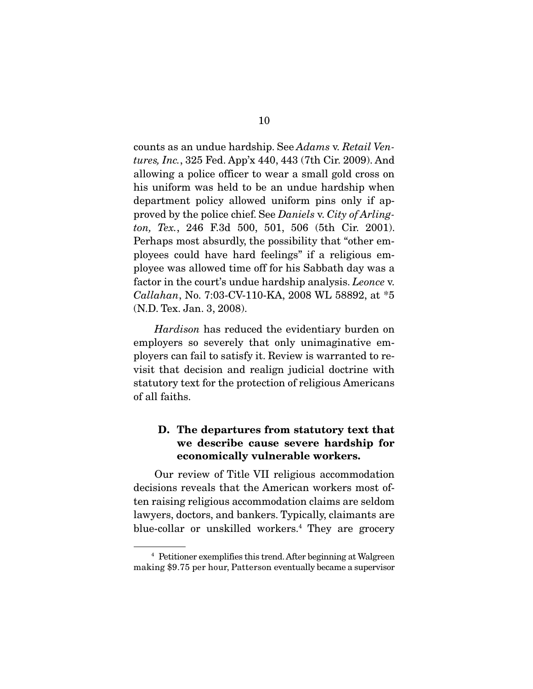counts as an undue hardship. See *Adams* v. *Retail Ventures, Inc.*, 325 Fed. App'x 440, 443 (7th Cir. 2009). And allowing a police officer to wear a small gold cross on his uniform was held to be an undue hardship when department policy allowed uniform pins only if approved by the police chief. See *Daniels* v. *City of Arlington, Tex.*, 246 F.3d 500, 501, 506 (5th Cir. 2001). Perhaps most absurdly, the possibility that "other employees could have hard feelings" if a religious employee was allowed time off for his Sabbath day was a factor in the court's undue hardship analysis. *Leonce* v. *Callahan*, No. 7:03-CV-110-KA, 2008 WL 58892, at \*5 (N.D. Tex. Jan. 3, 2008).

*Hardison* has reduced the evidentiary burden on employers so severely that only unimaginative employers can fail to satisfy it. Review is warranted to revisit that decision and realign judicial doctrine with statutory text for the protection of religious Americans of all faiths.

### D. The departures from statutory text that we describe cause severe hardship for economically vulnerable workers.

 Our review of Title VII religious accommodation decisions reveals that the American workers most often raising religious accommodation claims are seldom lawyers, doctors, and bankers. Typically, claimants are blue-collar or unskilled workers.<sup>4</sup> They are grocery

<sup>4</sup> Petitioner exemplifies this trend. After beginning at Walgreen making \$9.75 per hour, Patterson eventually became a supervisor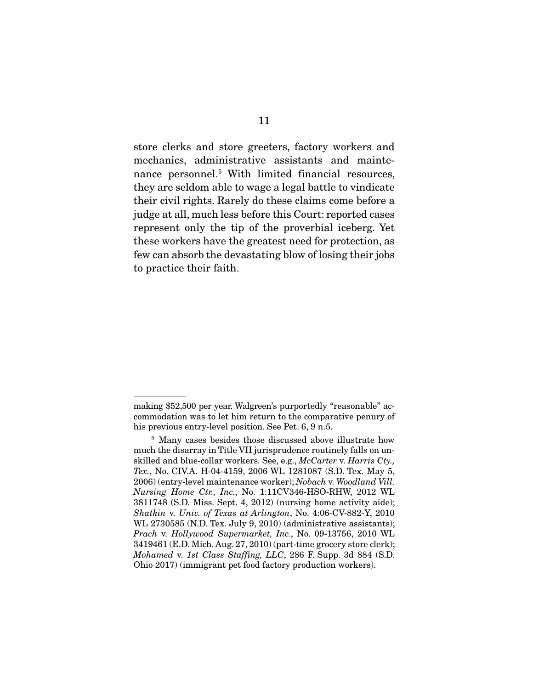store clerks and store greeters, factory workers and mechanics, administrative assistants and maintenance personnel.<sup>5</sup> With limited financial resources, they are seldom able to wage a legal battle to vindicate their civil rights. Rarely do these claims come before a judge at all, much less before this Court: reported cases represent only the tip of the proverbial iceberg. Yet these workers have the greatest need for protection, as few can absorb the devastating blow of losing their jobs to practice their faith.

making \$52,500 per year. Walgreen's purportedly "reasonable" accommodation was to let him return to the comparative penury of his previous entry-level position. See Pet. 6, 9 n.5.

<sup>&</sup>lt;sup>5</sup> Many cases besides those discussed above illustrate how much the disarray in Title VII jurisprudence routinely falls on unskilled and blue-collar workers. See, e.g., *McCarter* v. *Harris Cty., Tex.*, No. CIV.A. H-04-4159, 2006 WL 1281087 (S.D. Tex. May 5, 2006) (entry-level maintenance worker); *Nobach* v. *Woodland Vill. Nursing Home Ctr., Inc.*, No. 1:11CV346-HSO-RHW, 2012 WL 3811748 (S.D. Miss. Sept. 4, 2012) (nursing home activity aide); *Shatkin* v. *Univ. of Texas at Arlington*, No. 4:06-CV-882-Y, 2010 WL 2730585 (N.D. Tex. July 9, 2010) (administrative assistants); *Prach* v. *Hollywood Supermarket, Inc.*, No. 09-13756, 2010 WL 3419461 (E.D. Mich. Aug. 27, 2010) (part-time grocery store clerk); *Mohamed* v. *1st Class Staffing, LLC*, 286 F. Supp. 3d 884 (S.D. Ohio 2017) (immigrant pet food factory production workers).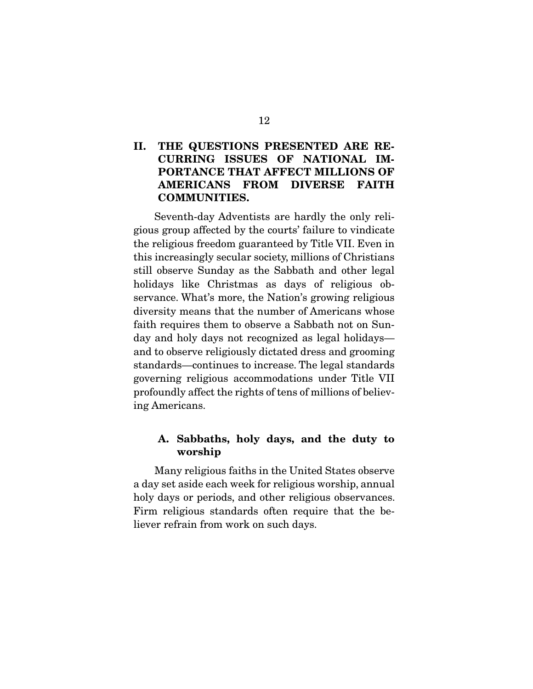### II. THE QUESTIONS PRESENTED ARE RE-CURRING ISSUES OF NATIONAL IM-PORTANCE THAT AFFECT MILLIONS OF AMERICANS FROM DIVERSE FAITH COMMUNITIES.

 Seventh-day Adventists are hardly the only religious group affected by the courts' failure to vindicate the religious freedom guaranteed by Title VII. Even in this increasingly secular society, millions of Christians still observe Sunday as the Sabbath and other legal holidays like Christmas as days of religious observance. What's more, the Nation's growing religious diversity means that the number of Americans whose faith requires them to observe a Sabbath not on Sunday and holy days not recognized as legal holidays and to observe religiously dictated dress and grooming standards—continues to increase. The legal standards governing religious accommodations under Title VII profoundly affect the rights of tens of millions of believing Americans.

### A. Sabbaths, holy days, and the duty to worship

 Many religious faiths in the United States observe a day set aside each week for religious worship, annual holy days or periods, and other religious observances. Firm religious standards often require that the believer refrain from work on such days.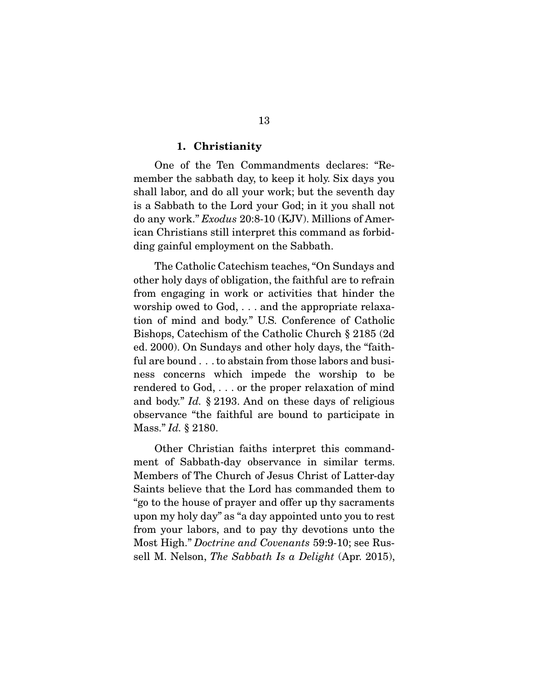#### 1. Christianity

 One of the Ten Commandments declares: "Remember the sabbath day, to keep it holy. Six days you shall labor, and do all your work; but the seventh day is a Sabbath to the Lord your God; in it you shall not do any work." *Exodus* 20:8-10 (KJV). Millions of American Christians still interpret this command as forbidding gainful employment on the Sabbath.

 The Catholic Catechism teaches, "On Sundays and other holy days of obligation, the faithful are to refrain from engaging in work or activities that hinder the worship owed to God, . . . and the appropriate relaxation of mind and body." U.S. Conference of Catholic Bishops, Catechism of the Catholic Church § 2185 (2d ed. 2000). On Sundays and other holy days, the "faithful are bound . . . to abstain from those labors and business concerns which impede the worship to be rendered to God, . . . or the proper relaxation of mind and body." *Id.* § 2193. And on these days of religious observance "the faithful are bound to participate in Mass." *Id.* § 2180.

 Other Christian faiths interpret this commandment of Sabbath-day observance in similar terms. Members of The Church of Jesus Christ of Latter-day Saints believe that the Lord has commanded them to "go to the house of prayer and offer up thy sacraments upon my holy day" as "a day appointed unto you to rest from your labors, and to pay thy devotions unto the Most High." *Doctrine and Covenants* 59:9-10; see Russell M. Nelson, *The Sabbath Is a Delight* (Apr. 2015),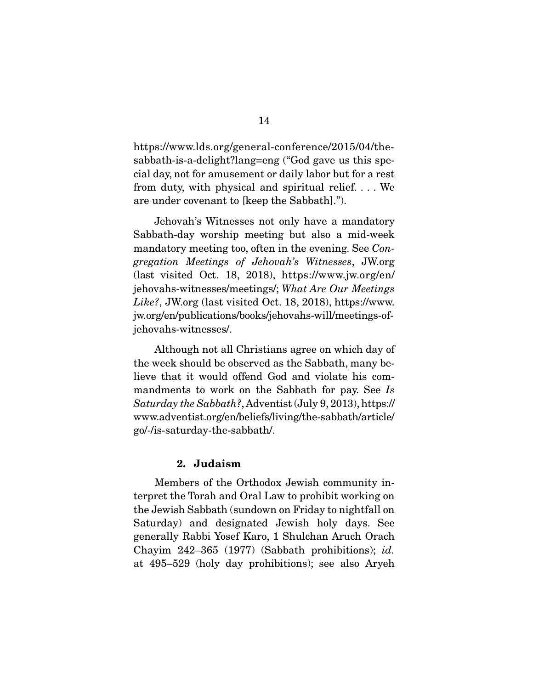https://www.lds.org/general-conference/2015/04/thesabbath-is-a-delight?lang=eng ("God gave us this special day, not for amusement or daily labor but for a rest from duty, with physical and spiritual relief. . . . We are under covenant to [keep the Sabbath].").

 Jehovah's Witnesses not only have a mandatory Sabbath-day worship meeting but also a mid-week mandatory meeting too, often in the evening. See *Congregation Meetings of Jehovah's Witnesses*, JW.org (last visited Oct. 18, 2018), https://www.jw.org/en/ jehovahs-witnesses/meetings/; *What Are Our Meetings Like?*, JW.org (last visited Oct. 18, 2018), https://www. jw.org/en/publications/books/jehovahs-will/meetings-ofjehovahs-witnesses/.

 Although not all Christians agree on which day of the week should be observed as the Sabbath, many believe that it would offend God and violate his commandments to work on the Sabbath for pay. See *Is Saturday the Sabbath?*, Adventist (July 9, 2013), https:// www.adventist.org/en/beliefs/living/the-sabbath/article/ go/-/is-saturday-the-sabbath/.

### 2. Judaism

 Members of the Orthodox Jewish community interpret the Torah and Oral Law to prohibit working on the Jewish Sabbath (sundown on Friday to nightfall on Saturday) and designated Jewish holy days. See generally Rabbi Yosef Karo, 1 Shulchan Aruch Orach Chayim 242–365 (1977) (Sabbath prohibitions); *id.* at 495–529 (holy day prohibitions); see also Aryeh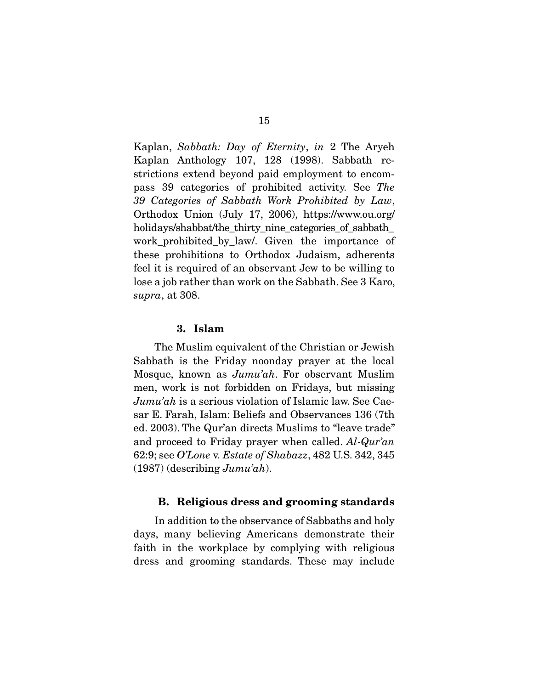Kaplan, *Sabbath: Day of Eternity*, *in* 2 The Aryeh Kaplan Anthology 107, 128 (1998). Sabbath restrictions extend beyond paid employment to encompass 39 categories of prohibited activity. See *The 39 Categories of Sabbath Work Prohibited by Law*, Orthodox Union (July 17, 2006), https://www.ou.org/ holidays/shabbat/the\_thirty\_nine\_categories\_of\_sabbath\_ work\_prohibited\_by\_law/. Given the importance of these prohibitions to Orthodox Judaism, adherents feel it is required of an observant Jew to be willing to lose a job rather than work on the Sabbath. See 3 Karo, *supra*, at 308.

#### 3. Islam

 The Muslim equivalent of the Christian or Jewish Sabbath is the Friday noonday prayer at the local Mosque, known as *Jumu'ah*. For observant Muslim men, work is not forbidden on Fridays, but missing *Jumu'ah* is a serious violation of Islamic law. See Caesar E. Farah, Islam: Beliefs and Observances 136 (7th ed. 2003). The Qur'an directs Muslims to "leave trade" and proceed to Friday prayer when called. *Al-Qur'an* 62:9; see *O'Lone* v. *Estate of Shabazz*, 482 U.S. 342, 345 (1987) (describing *Jumu'ah*).

### B. Religious dress and grooming standards

 In addition to the observance of Sabbaths and holy days, many believing Americans demonstrate their faith in the workplace by complying with religious dress and grooming standards. These may include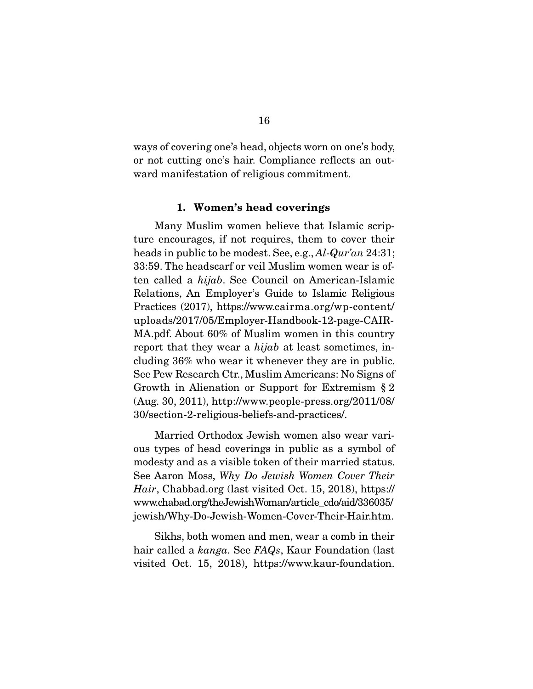ways of covering one's head, objects worn on one's body, or not cutting one's hair. Compliance reflects an outward manifestation of religious commitment.

#### 1. Women's head coverings

 Many Muslim women believe that Islamic scripture encourages, if not requires, them to cover their heads in public to be modest. See, e.g., *Al-Qur'an* 24:31; 33:59. The headscarf or veil Muslim women wear is often called a *hijab*. See Council on American-Islamic Relations, An Employer's Guide to Islamic Religious Practices (2017), https://www.cairma.org/wp-content/ uploads/2017/05/Employer-Handbook-12-page-CAIR-MA.pdf. About 60% of Muslim women in this country report that they wear a *hijab* at least sometimes, including 36% who wear it whenever they are in public. See Pew Research Ctr., Muslim Americans: No Signs of Growth in Alienation or Support for Extremism § 2 (Aug. 30, 2011), http://www.people-press.org/2011/08/ 30/section-2-religious-beliefs-and-practices/.

 Married Orthodox Jewish women also wear various types of head coverings in public as a symbol of modesty and as a visible token of their married status. See Aaron Moss, *Why Do Jewish Women Cover Their Hair*, Chabbad.org (last visited Oct. 15, 2018), https:// www.chabad.org/theJewishWoman/article\_cdo/aid/336035/ jewish/Why-Do-Jewish-Women-Cover-Their-Hair.htm.

 Sikhs, both women and men, wear a comb in their hair called a *kanga.* See *FAQs*, Kaur Foundation (last visited Oct. 15, 2018), https://www.kaur-foundation.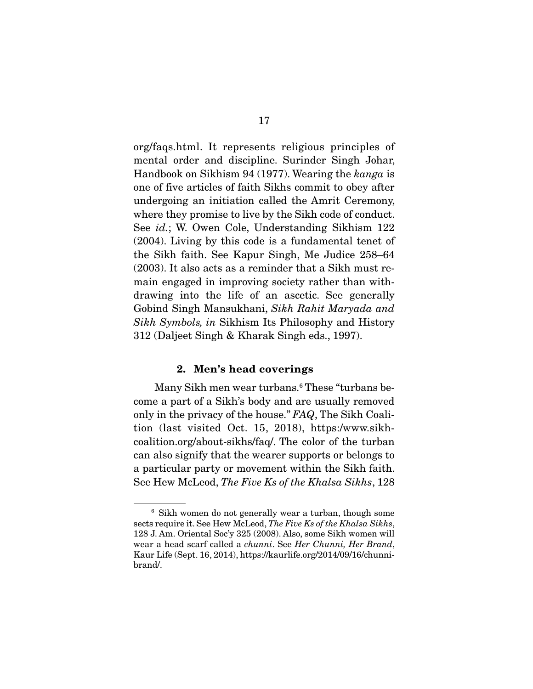org/faqs.html. It represents religious principles of mental order and discipline. Surinder Singh Johar, Handbook on Sikhism 94 (1977). Wearing the *kanga* is one of five articles of faith Sikhs commit to obey after undergoing an initiation called the Amrit Ceremony, where they promise to live by the Sikh code of conduct. See *id.*; W. Owen Cole, Understanding Sikhism 122 (2004). Living by this code is a fundamental tenet of the Sikh faith. See Kapur Singh, Me Judice 258–64 (2003). It also acts as a reminder that a Sikh must remain engaged in improving society rather than withdrawing into the life of an ascetic. See generally Gobind Singh Mansukhani, *Sikh Rahit Maryada and Sikh Symbols, in* Sikhism Its Philosophy and History 312 (Daljeet Singh & Kharak Singh eds., 1997).

#### 2. Men's head coverings

Many Sikh men wear turbans.<sup>6</sup> These "turbans become a part of a Sikh's body and are usually removed only in the privacy of the house." *FAQ*, The Sikh Coalition (last visited Oct. 15, 2018), https:/www.sikhcoalition.org/about-sikhs/faq/. The color of the turban can also signify that the wearer supports or belongs to a particular party or movement within the Sikh faith. See Hew McLeod, *The Five Ks of the Khalsa Sikhs*, 128

<sup>&</sup>lt;sup>6</sup> Sikh women do not generally wear a turban, though some sects require it. See Hew McLeod, *The Five Ks of the Khalsa Sikhs*, 128 J. Am. Oriental Soc'y 325 (2008). Also, some Sikh women will wear a head scarf called a *chunni*. See *Her Chunni, Her Brand*, Kaur Life (Sept. 16, 2014), https://kaurlife.org/2014/09/16/chunnibrand/.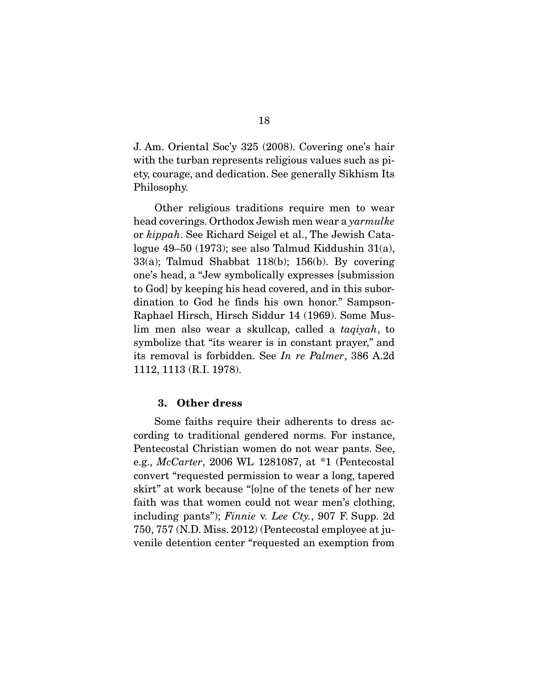J. Am. Oriental Soc'y 325 (2008). Covering one's hair with the turban represents religious values such as piety, courage, and dedication. See generally Sikhism Its Philosophy.

 Other religious traditions require men to wear head coverings. Orthodox Jewish men wear a *yarmulke*  or *kippah*. See Richard Seigel et al., The Jewish Catalogue 49–50 (1973); see also Talmud Kiddushin 31(a), 33(a); Talmud Shabbat 118(b); 156(b). By covering one's head, a "Jew symbolically expresses [submission to God] by keeping his head covered, and in this subordination to God he finds his own honor." Sampson-Raphael Hirsch, Hirsch Siddur 14 (1969). Some Muslim men also wear a skullcap, called a *taqiyah*, to symbolize that "its wearer is in constant prayer," and its removal is forbidden. See *In re Palmer*, 386 A.2d 1112, 1113 (R.I. 1978).

#### 3. Other dress

 Some faiths require their adherents to dress according to traditional gendered norms. For instance, Pentecostal Christian women do not wear pants. See, e.g., *McCarter*, 2006 WL 1281087, at \*1 (Pentecostal convert "requested permission to wear a long, tapered skirt" at work because "[o]ne of the tenets of her new faith was that women could not wear men's clothing, including pants"); *Finnie* v. *Lee Cty.*, 907 F. Supp. 2d 750, 757 (N.D. Miss. 2012) (Pentecostal employee at juvenile detention center "requested an exemption from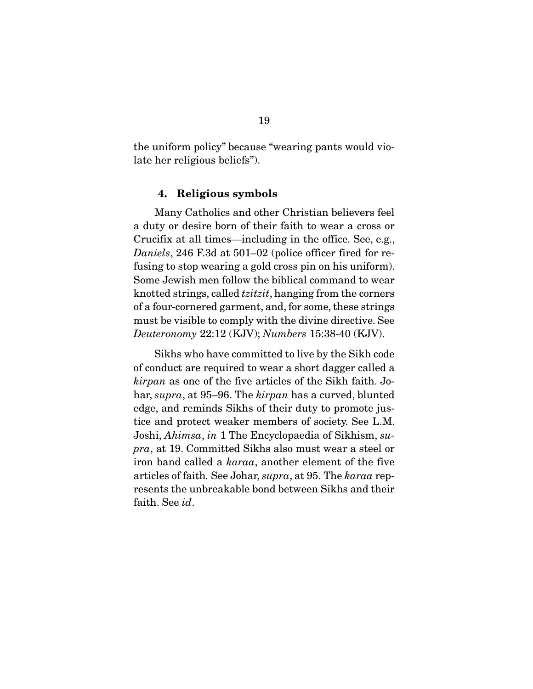the uniform policy" because "wearing pants would violate her religious beliefs").

### 4. Religious symbols

 Many Catholics and other Christian believers feel a duty or desire born of their faith to wear a cross or Crucifix at all times—including in the office. See, e.g., *Daniels*, 246 F.3d at 501–02 (police officer fired for refusing to stop wearing a gold cross pin on his uniform). Some Jewish men follow the biblical command to wear knotted strings, called *tzitzit*, hanging from the corners of a four-cornered garment, and, for some, these strings must be visible to comply with the divine directive. See *Deuteronomy* 22:12 (KJV); *Numbers* 15:38-40 (KJV).

 Sikhs who have committed to live by the Sikh code of conduct are required to wear a short dagger called a *kirpan* as one of the five articles of the Sikh faith. Johar, *supra*, at 95–96. The *kirpan* has a curved, blunted edge, and reminds Sikhs of their duty to promote justice and protect weaker members of society. See L.M. Joshi, *Ahimsa*, *in* 1 The Encyclopaedia of Sikhism, *supra*, at 19. Committed Sikhs also must wear a steel or iron band called a *karaa*, another element of the five articles of faith*.* See Johar, *supra*, at 95. The *karaa* represents the unbreakable bond between Sikhs and their faith. See *id*.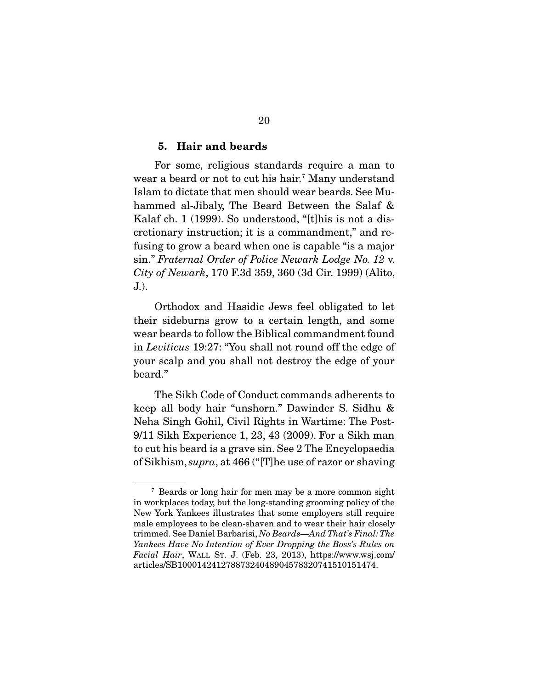#### 5. Hair and beards

 For some, religious standards require a man to wear a beard or not to cut his hair.<sup>7</sup> Many understand Islam to dictate that men should wear beards. See Muhammed al-Jibaly, The Beard Between the Salaf & Kalaf ch. 1 (1999). So understood, "[t]his is not a discretionary instruction; it is a commandment," and refusing to grow a beard when one is capable "is a major sin." *Fraternal Order of Police Newark Lodge No. 12* v. *City of Newark*, 170 F.3d 359, 360 (3d Cir. 1999) (Alito, J.).

 Orthodox and Hasidic Jews feel obligated to let their sideburns grow to a certain length, and some wear beards to follow the Biblical commandment found in *Leviticus* 19:27: "You shall not round off the edge of your scalp and you shall not destroy the edge of your beard."

 The Sikh Code of Conduct commands adherents to keep all body hair "unshorn." Dawinder S. Sidhu & Neha Singh Gohil, Civil Rights in Wartime: The Post-9/11 Sikh Experience 1, 23, 43 (2009). For a Sikh man to cut his beard is a grave sin. See 2 The Encyclopaedia of Sikhism, *supra*, at 466 ("[T]he use of razor or shaving

<sup>7</sup> Beards or long hair for men may be a more common sight in workplaces today, but the long-standing grooming policy of the New York Yankees illustrates that some employers still require male employees to be clean-shaven and to wear their hair closely trimmed. See Daniel Barbarisi, *No Beards—And That's Final: The Yankees Have No Intention of Ever Dropping the Boss's Rules on Facial Hair*, WALL ST. J. (Feb. 23, 2013), https://www.wsj.com/ articles/SB10001424127887324048904578320741510151474.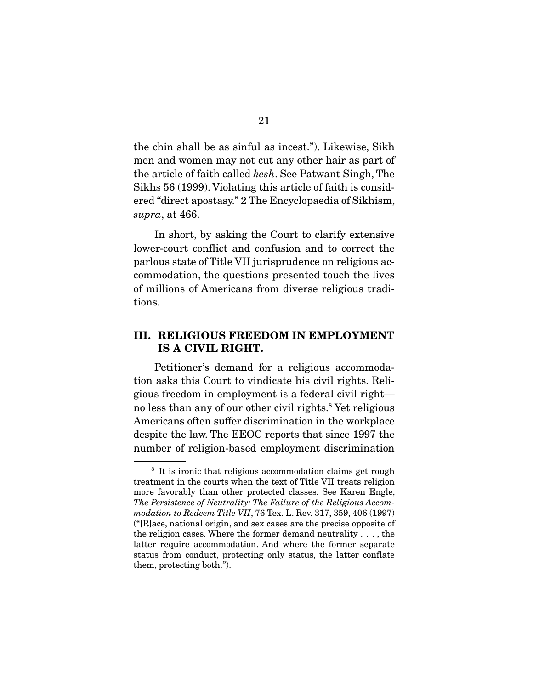the chin shall be as sinful as incest."). Likewise, Sikh men and women may not cut any other hair as part of the article of faith called *kesh*. See Patwant Singh, The Sikhs 56 (1999). Violating this article of faith is considered "direct apostasy." 2 The Encyclopaedia of Sikhism, *supra*, at 466.

 In short, by asking the Court to clarify extensive lower-court conflict and confusion and to correct the parlous state of Title VII jurisprudence on religious accommodation, the questions presented touch the lives of millions of Americans from diverse religious traditions.

### III. RELIGIOUS FREEDOM IN EMPLOYMENT IS A CIVIL RIGHT.

 Petitioner's demand for a religious accommodation asks this Court to vindicate his civil rights. Religious freedom in employment is a federal civil right no less than any of our other civil rights.<sup>8</sup> Yet religious Americans often suffer discrimination in the workplace despite the law. The EEOC reports that since 1997 the number of religion-based employment discrimination

<sup>&</sup>lt;sup>8</sup> It is ironic that religious accommodation claims get rough treatment in the courts when the text of Title VII treats religion more favorably than other protected classes. See Karen Engle, *The Persistence of Neutrality: The Failure of the Religious Accommodation to Redeem Title VII*, 76 Tex. L. Rev. 317, 359, 406 (1997) ("[R]ace, national origin, and sex cases are the precise opposite of the religion cases. Where the former demand neutrality . . . , the latter require accommodation. And where the former separate status from conduct, protecting only status, the latter conflate them, protecting both.").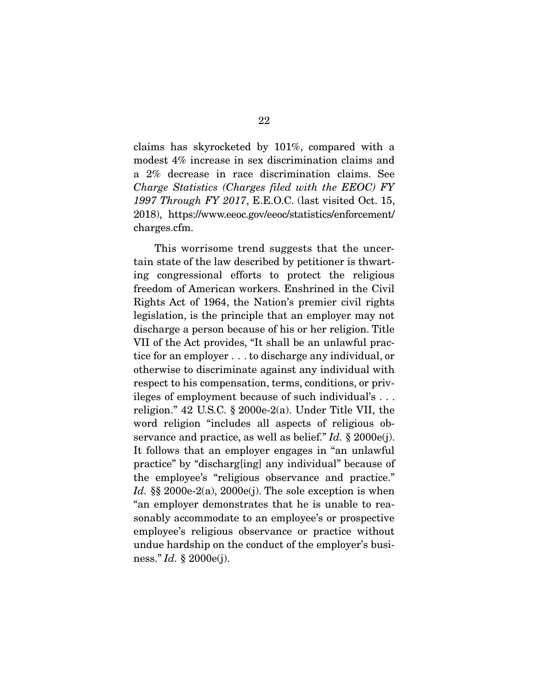claims has skyrocketed by 101%, compared with a modest 4% increase in sex discrimination claims and a 2% decrease in race discrimination claims. See *Charge Statistics (Charges filed with the EEOC) FY 1997 Through FY 2017*, E.E.O.C. (last visited Oct. 15, 2018), https://www.eeoc.gov/eeoc/statistics/enforcement/ charges.cfm.

 This worrisome trend suggests that the uncertain state of the law described by petitioner is thwarting congressional efforts to protect the religious freedom of American workers. Enshrined in the Civil Rights Act of 1964, the Nation's premier civil rights legislation, is the principle that an employer may not discharge a person because of his or her religion. Title VII of the Act provides, "It shall be an unlawful practice for an employer . . . to discharge any individual, or otherwise to discriminate against any individual with respect to his compensation, terms, conditions, or privileges of employment because of such individual's . . . religion." 42 U.S.C. § 2000e-2(a). Under Title VII, the word religion "includes all aspects of religious observance and practice, as well as belief." *Id.* § 2000e(j). It follows that an employer engages in "an unlawful practice" by "discharg[ing] any individual" because of the employee's "religious observance and practice." *Id.* §§ 2000e-2(a), 2000e(j). The sole exception is when "an employer demonstrates that he is unable to reasonably accommodate to an employee's or prospective employee's religious observance or practice without undue hardship on the conduct of the employer's business." *Id.* § 2000e(j).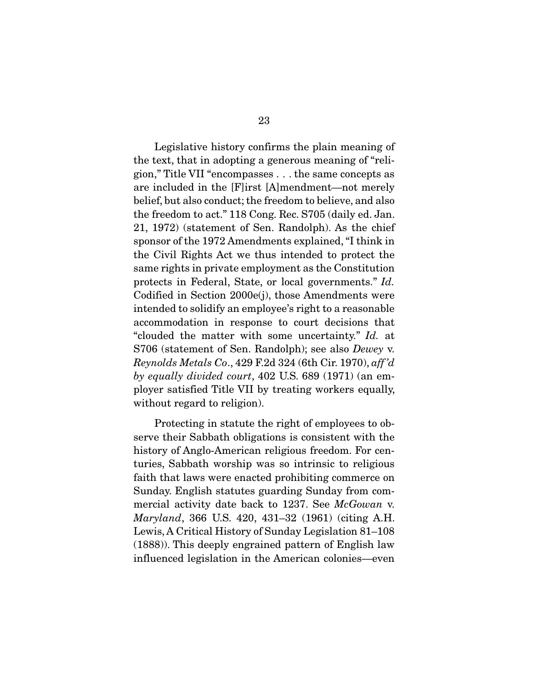Legislative history confirms the plain meaning of the text, that in adopting a generous meaning of "religion," Title VII "encompasses . . . the same concepts as are included in the [F]irst [A]mendment—not merely belief, but also conduct; the freedom to believe, and also the freedom to act." 118 Cong. Rec. S705 (daily ed. Jan. 21, 1972) (statement of Sen. Randolph). As the chief sponsor of the 1972 Amendments explained, "I think in the Civil Rights Act we thus intended to protect the same rights in private employment as the Constitution protects in Federal, State, or local governments." *Id.* Codified in Section 2000e(j), those Amendments were intended to solidify an employee's right to a reasonable accommodation in response to court decisions that "clouded the matter with some uncertainty." *Id.* at S706 (statement of Sen. Randolph); see also *Dewey* v. *Reynolds Metals Co*., 429 F.2d 324 (6th Cir. 1970), *aff 'd by equally divided court*, 402 U.S. 689 (1971) (an employer satisfied Title VII by treating workers equally, without regard to religion).

 Protecting in statute the right of employees to observe their Sabbath obligations is consistent with the history of Anglo-American religious freedom. For centuries, Sabbath worship was so intrinsic to religious faith that laws were enacted prohibiting commerce on Sunday. English statutes guarding Sunday from commercial activity date back to 1237. See *McGowan* v. *Maryland*, 366 U.S. 420, 431–32 (1961) (citing A.H. Lewis, A Critical History of Sunday Legislation 81–108 (1888)). This deeply engrained pattern of English law influenced legislation in the American colonies—even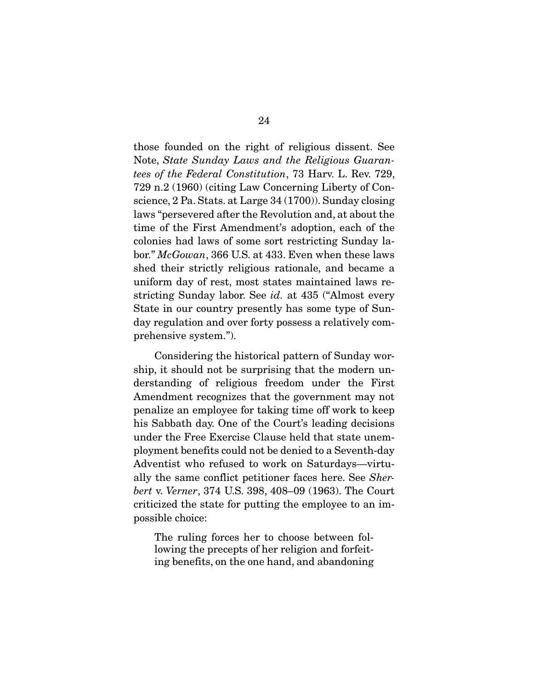those founded on the right of religious dissent. See Note, *State Sunday Laws and the Religious Guarantees of the Federal Constitution*, 73 Harv. L. Rev. 729, 729 n.2 (1960) (citing Law Concerning Liberty of Conscience, 2 Pa. Stats. at Large 34 (1700)). Sunday closing laws "persevered after the Revolution and, at about the time of the First Amendment's adoption, each of the colonies had laws of some sort restricting Sunday labor." *McGowan*, 366 U.S. at 433. Even when these laws shed their strictly religious rationale, and became a uniform day of rest, most states maintained laws restricting Sunday labor. See *id.* at 435 ("Almost every State in our country presently has some type of Sunday regulation and over forty possess a relatively comprehensive system.").

 Considering the historical pattern of Sunday worship, it should not be surprising that the modern understanding of religious freedom under the First Amendment recognizes that the government may not penalize an employee for taking time off work to keep his Sabbath day. One of the Court's leading decisions under the Free Exercise Clause held that state unemployment benefits could not be denied to a Seventh-day Adventist who refused to work on Saturdays—virtually the same conflict petitioner faces here. See *Sherbert* v. *Verner*, 374 U.S. 398, 408–09 (1963). The Court criticized the state for putting the employee to an impossible choice:

The ruling forces her to choose between following the precepts of her religion and forfeiting benefits, on the one hand, and abandoning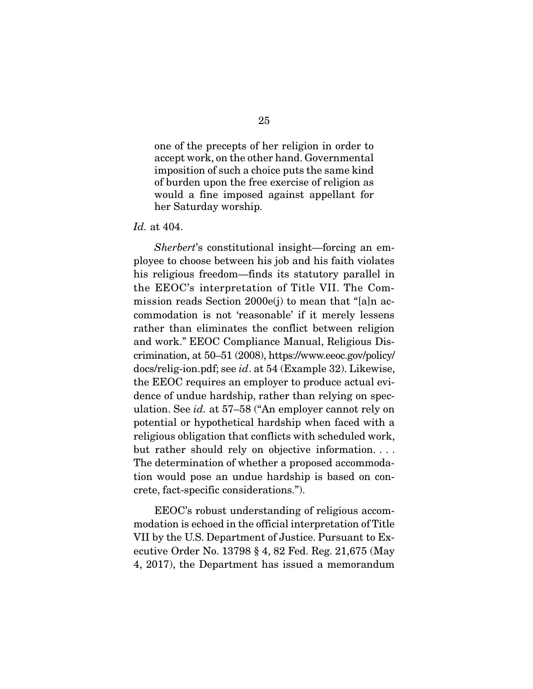one of the precepts of her religion in order to accept work, on the other hand. Governmental imposition of such a choice puts the same kind of burden upon the free exercise of religion as would a fine imposed against appellant for her Saturday worship.

#### *Id.* at 404.

*Sherbert*'s constitutional insight—forcing an employee to choose between his job and his faith violates his religious freedom—finds its statutory parallel in the EEOC's interpretation of Title VII. The Commission reads Section 2000e(j) to mean that "[a]n accommodation is not 'reasonable' if it merely lessens rather than eliminates the conflict between religion and work." EEOC Compliance Manual, Religious Discrimination, at 50–51 (2008), https://www.eeoc.gov/policy/ docs/relig-ion.pdf; see *id*. at 54 (Example 32). Likewise, the EEOC requires an employer to produce actual evidence of undue hardship, rather than relying on speculation. See *id.* at 57–58 ("An employer cannot rely on potential or hypothetical hardship when faced with a religious obligation that conflicts with scheduled work, but rather should rely on objective information. . . . The determination of whether a proposed accommodation would pose an undue hardship is based on concrete, fact-specific considerations.").

 EEOC's robust understanding of religious accommodation is echoed in the official interpretation of Title VII by the U.S. Department of Justice. Pursuant to Executive Order No. 13798 § 4, 82 Fed. Reg. 21,675 (May 4, 2017), the Department has issued a memorandum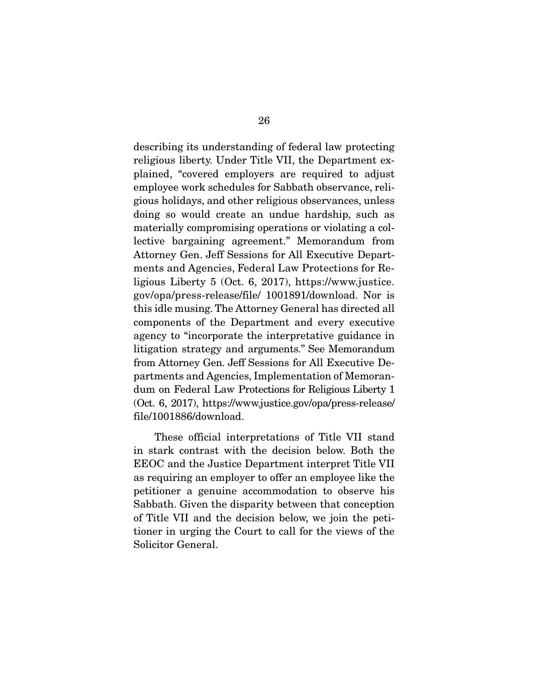describing its understanding of federal law protecting religious liberty. Under Title VII, the Department explained, "covered employers are required to adjust employee work schedules for Sabbath observance, religious holidays, and other religious observances, unless doing so would create an undue hardship, such as materially compromising operations or violating a collective bargaining agreement." Memorandum from Attorney Gen. Jeff Sessions for All Executive Departments and Agencies, Federal Law Protections for Religious Liberty 5 (Oct. 6, 2017), https://www.justice. gov/opa/press-release/file/ 1001891/download. Nor is this idle musing. The Attorney General has directed all components of the Department and every executive agency to "incorporate the interpretative guidance in litigation strategy and arguments." See Memorandum from Attorney Gen. Jeff Sessions for All Executive Departments and Agencies, Implementation of Memorandum on Federal Law Protections for Religious Liberty 1 (Oct. 6, 2017), https://www.justice.gov/opa/press-release/ file/1001886/download.

 These official interpretations of Title VII stand in stark contrast with the decision below. Both the EEOC and the Justice Department interpret Title VII as requiring an employer to offer an employee like the petitioner a genuine accommodation to observe his Sabbath. Given the disparity between that conception of Title VII and the decision below, we join the petitioner in urging the Court to call for the views of the Solicitor General.